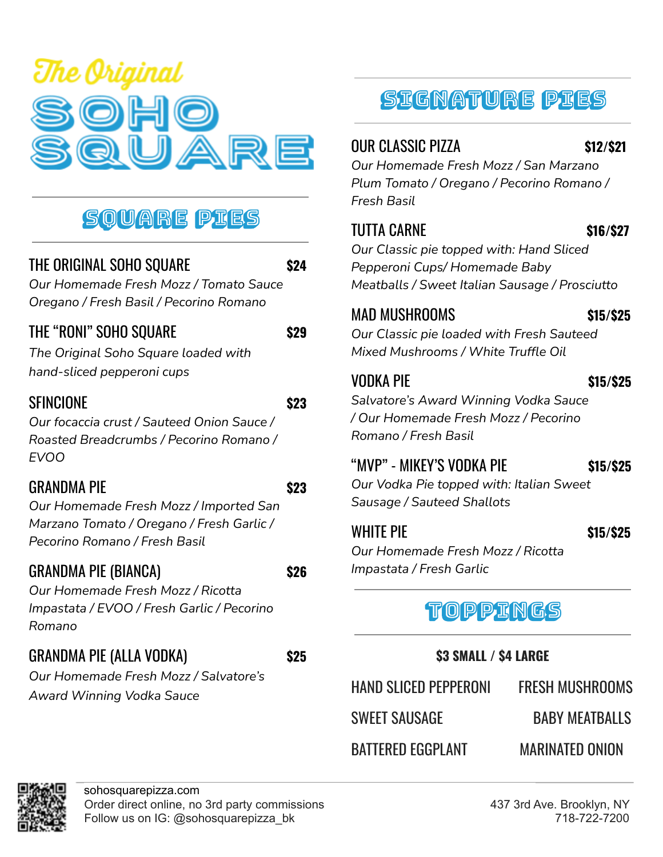

# Square Pies

### THE ORIGINAL SOHO SQUARE **\$24**

*Our Homemade Fresh Mozz / Tomato Sauce Oregano / Fresh Basil / Pecorino Romano*

# THE "RONI" SOHO SQUARE **\$29**

*The Original Soho Square loaded with hand-sliced pepperoni cups*

#### SFINCIONE **\$23**

*Our focaccia crust / Sauteed Onion Sauce / Roasted Breadcrumbs / Pecorino Romano / EVOO*

## GRANDMA PIE **\$23**

*Our Homemade Fresh Mozz / Imported San Marzano Tomato / Oregano / Fresh Garlic / Pecorino Romano / Fresh Basil*

#### GRANDMA PIE (BIANCA) **\$26**

*Our Homemade Fresh Mozz / Ricotta Impastata / EVOO / Fresh Garlic / Pecorino Romano*

# GRANDMA PIE (ALLA VODKA) **\$25**

*Our Homemade Fresh Mozz / Salvatore's Award Winning Vodka Sauce*

# Signature Pies

# OUR CLASSIC PIZZA **\$12/\$21**

*Our Homemade Fresh Mozz / San Marzano Plum Tomato / Oregano / Pecorino Romano / Fresh Basil*

#### TUTTA CARNE **\$16/\$27**

*Our Classic pie topped with: Hand Sliced Pepperoni Cups/ Homemade Baby Meatballs / Sweet Italian Sausage / Prosciutto*

### MAD MUSHROOMS **\$15/\$25**

*Our Classic pie loaded with Fresh Sauteed Mixed Mushrooms / White Truffle Oil*

## VODKA PIE **\$15/\$25**

*Salvatore's Award Winning Vodka Sauce / Our Homemade Fresh Mozz / Pecorino Romano / Fresh Basil*

# "MVP" - MIKEY'S VODKA PIE **\$15/\$25**

*Our Vodka Pie topped with: Italian Sweet Sausage / Sauteed Shallots*

### WHITE PIE **\$15/\$25**

*Our Homemade Fresh Mozz / Ricotta Impastata / Fresh Garlic*

# Toppings

#### **\$3 SMALL / \$4 LARGE**

HAND SLICED PEPPERONI FRESH MUSHROOMS SWEET SAUSAGE BABY MEATBALLS BATTERED EGGPLANT MARINATED ONION